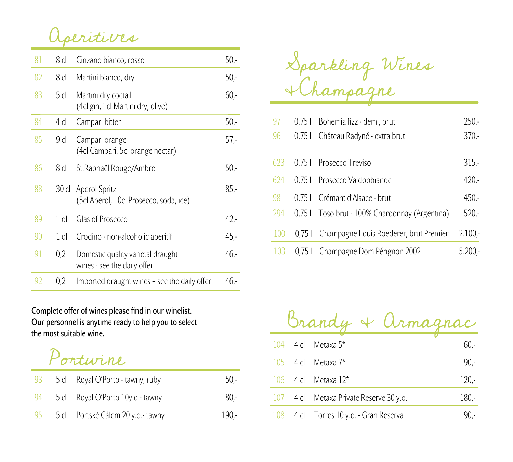Aperitives

| 81 | 8 cl            | Cinzano bianco, rosso                                            | $50 -$  |
|----|-----------------|------------------------------------------------------------------|---------|
| 82 | 8 cl            | Martini bianco, dry                                              | $50,-$  |
| 83 | 5 <sub>cl</sub> | Martini dry coctail<br>(4cl gin, 1cl Martini dry, olive)         | $60 -$  |
| 84 | 4 <sub>cl</sub> | Campari bitter                                                   | $50 -$  |
| 85 | 9 <sub>cl</sub> | Campari orange<br>(4cl Campari, 5cl orange nectar)               | $57 -$  |
| 86 | 8 cl            | St. Raphaël Rouge/Ambre                                          | $50 -$  |
| 88 |                 | 30 cl Aperol Spritz<br>(5cl Aperol, 10cl Prosecco, soda, ice)    | $85 -$  |
| 89 | $1$ dl          | <b>Glas of Prosecco</b>                                          | $42 -$  |
| 90 | $1$ dl          | Crodino - non-alcoholic aperitif                                 | $45,-$  |
| 91 | 0,21            | Domestic quality varietal draught<br>wines - see the daily offer | $46. -$ |
| 92 | 0,21            | Imported draught wines – see the daily offer                     | $46. -$ |

**Complete offer of wines please find in our winelist. Our personnel is anytime ready to help you to select the most suitable wine.**

Portwine

| - 93 | 5 cl Royal O'Porto - tawny, ruby  | $50 -$  |
|------|-----------------------------------|---------|
| 94   | 5 cl Royal O'Porto 10y.o.- tawny  | $80 -$  |
| 95   | 5 cl Portské Cálem 20 y.o.- tawny | $190 -$ |

Sparkling Wines &Champagne

| 97  |        | 0,75   Bohemia fizz - demi, brut        | $250 -$   |
|-----|--------|-----------------------------------------|-----------|
| 96  | 0.751  | Château Radyně - extra brut             | $370 -$   |
| 623 | 0.751  | Prosecco Treviso                        | $315 -$   |
| 624 | 0.751  | Prosecco Valdobbiande                   | $420 -$   |
| 98  | 0.751  | Crémant d'Alsace - brut                 | $450 -$   |
| 294 | $0.75$ | Toso brut - 100% Chardonnay (Argentina) | $520 -$   |
| 100 | 0.751  | Champagne Louis Roederer, brut Premier  | $2.100 -$ |
| 103 | 0.751  | Champagne Dom Pérignon 2002             | $5.200 -$ |

Brandy & Armagnac 104 4 cl Metaxa  $5^*$  60.-105 4 cl Metaxa  $7^*$  90,-106 4 cl Metaxa  $12^*$  120,-107 4 cl Metaxa Private Reserve 30 y.o. 180,-  $108$  4 cl Torres  $10$  y.o. - Gran Reserva 90,-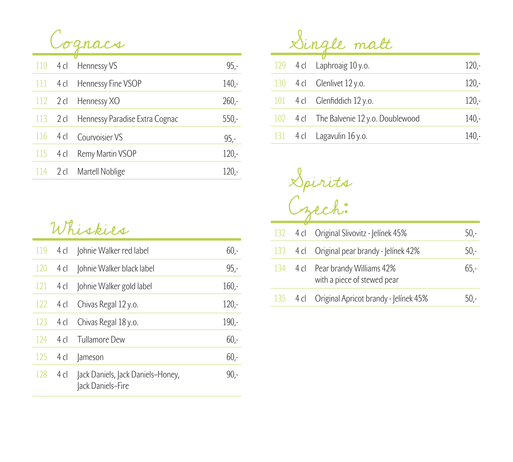

|                          | 110 4 cl Hennessy VS           | $95 -$  |
|--------------------------|--------------------------------|---------|
|                          | 111 4 cl Hennessy Fine VSOP    | 140.    |
|                          | 112 2 cl Hennessy XO           | $260 -$ |
| $113$ 2 cl               | Hennessy Paradise Extra Cognac | $550 -$ |
| 116                      | 4 cl Courvoisier VS            | $95 -$  |
| $115 \quad 4 \text{ cl}$ | Remy Martin VSOP               | $120 -$ |
|                          | 114 2 cl Martell Noblige       | 120.    |

## Whiskies

| 119 | 4 cl | Johnie Walker red label                                | $60 -$  |
|-----|------|--------------------------------------------------------|---------|
| 120 | 4 cl | Johnie Walker black label                              | $95 -$  |
| 121 | 4 cl | Johnie Walker gold label                               | $160 -$ |
| 122 | 4 cl | Chivas Regal 12 y.o.                                   | $120 -$ |
| 123 | 4 cl | Chivas Regal 18 y.o.                                   | $190 -$ |
| 124 | 4 cl | Tullamore Dew                                          | $60 -$  |
| 125 | 4 cl | Jameson                                                | $60 -$  |
| 128 | 4 cl | Jack Daniels, Jack Daniels-Honey,<br>Jack Daniels-Fire | 90,-    |

Single malt

|  | 129 4 cl Laphroaig 10 y.o.               | $120 -$ |
|--|------------------------------------------|---------|
|  | 130 4 cl Glenlivet 12 y.o.               | $120 -$ |
|  | 101 4 cl Glenfiddich 12 y.o.             | $120 -$ |
|  | 102 4 cl The Balvenie 12 y.o. Doublewood | $140 -$ |
|  | 131 $\,$ 4 cl Lagavulin 16 y.o.          | $140 -$ |

Spirits Czech:

|  | 132 4 cl Original Slivovitz - Jelínek 45%                        | 50,-    |
|--|------------------------------------------------------------------|---------|
|  | 133 4 cl Original pear brandy - Jelínek 42%                      | $50 -$  |
|  | 134 4 cl Pear brandy Williams 42%<br>with a piece of stewed pear | $65. -$ |
|  | 135 4 cl Original Apricot brandy - Jelínek 45%                   | 50.-    |
|  |                                                                  |         |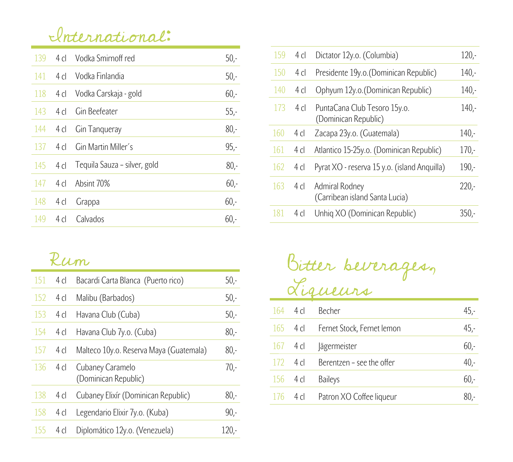## International:

| 139 | 4 $\mathsf{cl}$ | Vodka Smirnoff red           | $50 -$ |
|-----|-----------------|------------------------------|--------|
| 141 | 4 <sub>l</sub>  | Vodka Finlandia              | $50 -$ |
| 118 | 4 cl            | Vodka Carskaja - gold        | $60 -$ |
| 143 | 4 <sub>l</sub>  | Gin Beefeater                | $55 -$ |
| 144 | 4 cl            | Gin Tanqueray                | $80 -$ |
|     |                 |                              |        |
| 137 | 4 cl            | Gin Martin Miller's          | $95 -$ |
| 145 | 4 cl            | Tequila Sauza – silver, gold | $80 -$ |
| 147 | $4$ cl          | Absint 70%                   | $60 -$ |
| 148 | $4$ cl          | Grappa                       | $60 -$ |

## Rum

| 151 | 4 cl            | Bacardi Carta Blanca (Puerto rico)       | $50 -$ |
|-----|-----------------|------------------------------------------|--------|
| 152 | 4 cl            | Malibu (Barbados)                        | $50 -$ |
| 153 | 4 <sub>cl</sub> | Havana Club (Cuba)                       | $50 -$ |
| 154 | 4 cl            | Havana Club 7y.o. (Cuba)                 | $80 -$ |
| 157 | 4 <sub>cl</sub> | Malteco 10y.o. Reserva Maya (Guatemala)  | $80 -$ |
| 136 | 4 cl            | Cubaney Caramelo<br>(Dominican Republic) | $70 -$ |
| 138 | 4 <sub>cl</sub> | Cubaney Elixír (Dominican Republic)      | $80 -$ |
| 158 | 4 cl            | Legendario Elixir 7y.o. (Kuba)           | $90 -$ |
| 155 | 4 cl            | Diplomático 12y.o. (Venezuela)           | 120,-  |

| 159 | 4 <sub>cl</sub> | Dictator 12y.o. (Columbia)                           | $120 -$ |
|-----|-----------------|------------------------------------------------------|---------|
| 150 | 4 <sub>cl</sub> | Presidente 19y.o. (Dominican Republic)               | $140 -$ |
| 140 | 4 <sub>cl</sub> | Ophyum 12y.o. (Dominican Republic)                   | $140 -$ |
| 173 | $4$ cl          | PuntaCana Club Tesoro 15y.o.<br>(Dominican Republic) | $140 -$ |
| 160 | 4 <sub>cl</sub> | Zacapa 23y.o. (Guatemala)                            | 140.    |
| 161 | $4$ cl          | Atlantico 15-25y.o. (Dominican Republic)             | $170 -$ |
| 162 | 4 <sub>cl</sub> | Pyrat XO - reserva 15 y.o. (island Anquilla)         | $190 -$ |
| 163 | 4 cl            | Admiral Rodney<br>(Carribean island Santa Lucia)     | $220 -$ |
| 181 | 4 cl            | Unhiq XO (Dominican Republic)                        | $350 -$ |

Bitter beverages, Liqueurs

|            | $164$ 4 cl               | Becher                              | 45,-    |
|------------|--------------------------|-------------------------------------|---------|
|            |                          | 165 4 cl Fernet Stock, Fernet lemon | $45. -$ |
|            | $167 \quad 4 \text{ cl}$ | <b>Jägermeister</b>                 | $60 -$  |
| 172        | $4$ cl                   | Berentzen - see the offer           | $40 -$  |
| $156$ 4 cl |                          | <b>Baileys</b>                      | $60 -$  |
| 1/6        | 4 cl                     | Patron XO Coffee liqueur            |         |
|            |                          |                                     |         |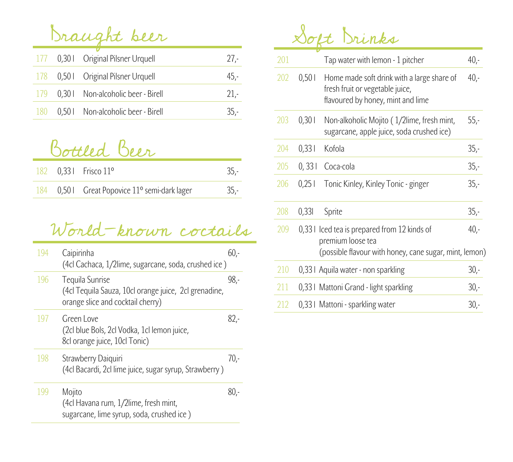Draught beer

|  | 177 0,30   Original Pilsner Urquell    | $27 -$ |
|--|----------------------------------------|--------|
|  | 178 0.50   Original Pilsner Urquell    | 45,-   |
|  | 179 0.30   Non-alcoholic beer - Birell | $21-$  |
|  | 180 0,501 Non-alcoholic beer - Birell  | $35-$  |

Bottled Beer

|  | 182 $0.331$ Frisco 11 <sup>o</sup>                        |       |
|--|-----------------------------------------------------------|-------|
|  | 184 0,50   Great Popovice 11 <sup>o</sup> semi-dark lager | $35-$ |

## World-known coctails

| 194 | Caipirinha<br>(4cl Cachaca, 1/2lime, sugarcane, soda, crushed ice)                                            | 60,- |
|-----|---------------------------------------------------------------------------------------------------------------|------|
| 196 | Tequila Sunrise<br>(4cl Tequila Sauza, 10cl orange juice, 2cl grenadine,<br>orange slice and cocktail cherry) | 98.5 |
| 197 | Green Love<br>(2cl blue Bols, 2cl Vodka, 1cl lemon juice,<br>8cl orange juice, 10cl Tonic)                    | 82,- |
| 198 | Strawberry Daiquiri<br>(4cl Bacardi, 2cl lime juice, sugar syrup, Strawberry)                                 | 70.5 |
| 199 | Mojito<br>(4cl Havana rum, 1/2lime, fresh mint,<br>sugarcane, lime syrup, soda, crushed ice)                  | 80.- |

Soft Drinks

| 201 |        | Tap water with lemon - 1 pitcher                                                                                           | $40 -$  |
|-----|--------|----------------------------------------------------------------------------------------------------------------------------|---------|
| 202 | 0,501  | Home made soft drink with a large share of<br>fresh fruit or vegetable juice,<br>flavoured by honey, mint and lime         | $40 -$  |
| 203 | 0,301  | Non-alkoholic Mojito (1/2lime, fresh mint,<br>sugarcane, apple juice, soda crushed ice)                                    | $55 -$  |
| 204 | 0,331  | Kofola                                                                                                                     | $35 -$  |
| 205 | 0, 331 | Coca-cola                                                                                                                  | $35 -$  |
| 206 | 0,251  | Tonic Kinley, Kinley Tonic - ginger                                                                                        | $35 -$  |
| 208 | 0,331  | Sprite                                                                                                                     | $35 -$  |
| 209 |        | 0,331 Iced tea is prepared from 12 kinds of<br>premium loose tea<br>(possible flavour with honey, cane sugar, mint, lemon) | $40, -$ |
| 210 |        | 0,331 Aquila water - non sparkling                                                                                         | $30 -$  |
| 211 |        | 0,331 Mattoni Grand - light sparkling                                                                                      | $30 -$  |
| 212 |        | 0,331 Mattoni - sparkling water                                                                                            | $30 -$  |